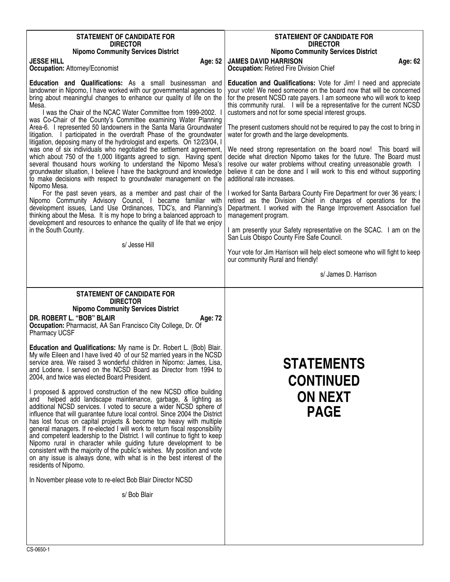| <b>STATEMENT OF CANDIDATE FOR</b><br><b>DIRECTOR</b><br><b>Nipomo Community Services District</b><br><b>JESSE HILL</b><br>Age: 52<br><b>Occupation: Attorney/Economist</b>                                                                                                                                                                                                                                                                                                                                                                                                                                                                                                                                                                                                                                                                                                                                                                                                                                                                                                                                                                                                                                                                                                                                                                                                                                                                     | <b>STATEMENT OF CANDIDATE FOR</b><br><b>DIRECTOR</b><br><b>Nipomo Community Services District</b><br><b>JAMES DAVID HARRISON</b><br>Age: 62<br><b>Occupation: Retired Fire Division Chief</b>                                                                                                                                                                                                                                                                                                                                                                                                                                                                                                                                                                                                                                                                                                                                                                                                                                                                                                                                                                                                                                                                                       |
|------------------------------------------------------------------------------------------------------------------------------------------------------------------------------------------------------------------------------------------------------------------------------------------------------------------------------------------------------------------------------------------------------------------------------------------------------------------------------------------------------------------------------------------------------------------------------------------------------------------------------------------------------------------------------------------------------------------------------------------------------------------------------------------------------------------------------------------------------------------------------------------------------------------------------------------------------------------------------------------------------------------------------------------------------------------------------------------------------------------------------------------------------------------------------------------------------------------------------------------------------------------------------------------------------------------------------------------------------------------------------------------------------------------------------------------------|-------------------------------------------------------------------------------------------------------------------------------------------------------------------------------------------------------------------------------------------------------------------------------------------------------------------------------------------------------------------------------------------------------------------------------------------------------------------------------------------------------------------------------------------------------------------------------------------------------------------------------------------------------------------------------------------------------------------------------------------------------------------------------------------------------------------------------------------------------------------------------------------------------------------------------------------------------------------------------------------------------------------------------------------------------------------------------------------------------------------------------------------------------------------------------------------------------------------------------------------------------------------------------------|
| Education and Qualifications: As a small businessman and<br>landowner in Nipomo, I have worked with our governmental agencies to<br>bring about meaningful changes to enhance our quality of life on the<br>Mesa.<br>I was the Chair of the NCAC Water Committee from 1999-2002. I<br>was Co-Chair of the County's Committee examining Water Planning<br>Area-6. I represented 50 landowners in the Santa Maria Groundwater<br>litigation. I participated in the overdraft Phase of the groundwater<br>litigation, deposing many of the hydrologist and experts. On 12/23/04, I<br>was one of six individuals who negotiated the settlement agreement,<br>which about 750 of the 1,000 litigants agreed to sign. Having spent<br>several thousand hours working to understand the Nipomo Mesa's<br>groundwater situation, I believe I have the background and knowledge<br>to make decisions with respect to groundwater management on the<br>Nipomo Mesa.<br>For the past seven years, as a member and past chair of the<br>Nipomo Community Advisory Council, I became familiar with<br>development issues, Land Use Ordinances, TDC's, and Planning's<br>thinking about the Mesa. It is my hope to bring a balanced approach to<br>development and resources to enhance the quality of life that we enjoy<br>in the South County.<br>s/ Jesse Hill                                                                                          | <b>Education and Qualifications:</b> Vote for Jim! I need and appreciate<br>your vote! We need someone on the board now that will be concerned<br>for the present NCSD rate payers. I am someone who will work to keep<br>this community rural. I will be a representative for the current NCSD<br>customers and not for some special interest groups.<br>The present customers should not be required to pay the cost to bring in<br>water for growth and the large developments.<br>We need strong representation on the board now! This board will<br>decide what direction Nipomo takes for the future. The Board must<br>resolve our water problems without creating unreasonable growth. I<br>believe it can be done and I will work to this end without supporting<br>additional rate increases.<br>I worked for Santa Barbara County Fire Department for over 36 years; I<br>retired as the Division Chief in charges of operations for the<br>Department. I worked with the Range Improvement Association fuel<br>management program.<br>I am presently your Safety representative on the SCAC. I am on the<br>San Luis Obispo County Fire Safe Council.<br>Your vote for Jim Harrison will help elect someone who will fight to keep<br>our community Rural and friendly! |
|                                                                                                                                                                                                                                                                                                                                                                                                                                                                                                                                                                                                                                                                                                                                                                                                                                                                                                                                                                                                                                                                                                                                                                                                                                                                                                                                                                                                                                                | s/ James D. Harrison                                                                                                                                                                                                                                                                                                                                                                                                                                                                                                                                                                                                                                                                                                                                                                                                                                                                                                                                                                                                                                                                                                                                                                                                                                                                |
| <b>STATEMENT OF CANDIDATE FOR</b><br><b>DIRECTOR</b><br><b>Nipomo Community Services District</b><br>DR. ROBERT L. "BOB" BLAIR<br>Age: 72<br>Occupation: Pharmacist, AA San Francisco City College, Dr. Of<br><b>Pharmacy UCSF</b><br>Education and Qualifications: My name is Dr. Robert L. {Bob} Blair.<br>My wife Eileen and I have lived 40 of our 52 married years in the NCSD<br>service area. We raised 3 wonderful children in Nipomo: James, Lisa,<br>and Lodene. I served on the NCSD Board as Director from 1994 to<br>2004, and twice was elected Board President.<br>I proposed & approved construction of the new NCSD office building<br>and helped add landscape maintenance, garbage, & lighting as<br>additional NCSD services. I voted to secure a wider NCSD sphere of<br>influence that will guarantee future local control. Since 2004 the District<br>has lost focus on capital projects & become top heavy with multiple<br>general managers. If re-elected I will work to return fiscal responsibility<br>and competent leadership to the District. I will continue to fight to keep<br>Nipomo rural in character while guiding future development to be<br>consistent with the majority of the public's wishes. My position and vote<br>on any issue is always done, with what is in the best interest of the<br>residents of Nipomo.<br>In November please vote to re-elect Bob Blair Director NCSD<br>s/ Bob Blair | <b>STATEMENTS</b><br><b>CONTINUED</b><br><b>ON NEXT</b><br><b>PAGE</b>                                                                                                                                                                                                                                                                                                                                                                                                                                                                                                                                                                                                                                                                                                                                                                                                                                                                                                                                                                                                                                                                                                                                                                                                              |